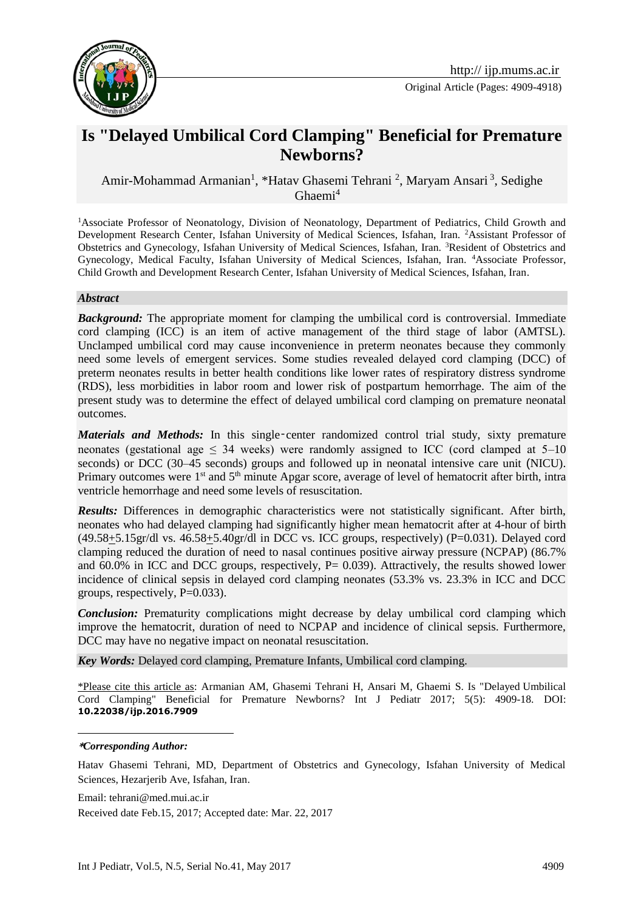

Original Article (Pages: 4909-4918)

# **Is "Delayed Umbilical Cord Clamping" Beneficial for Premature Newborns?**

Amir-Mohammad Armanian<sup>1</sup>, \*Hatav Ghasemi Tehrani<sup>2</sup>, Maryam Ansari<sup>3</sup>, Sedighe Ghaemi $4$ 

<sup>1</sup>Associate Professor of Neonatology, Division of Neonatology, Department of Pediatrics, Child Growth and Development Research Center, Isfahan University of Medical Sciences, Isfahan, Iran. <sup>2</sup>Assistant Professor of Obstetrics and Gynecology, Isfahan University of Medical Sciences, Isfahan, Iran. <sup>3</sup>Resident of Obstetrics and Gynecology, Medical Faculty, Isfahan University of Medical Sciences, Isfahan, Iran. <sup>4</sup>Associate Professor, Child Growth and Development Research Center, Isfahan University of Medical Sciences, Isfahan, Iran.

#### *Abstract*

*Background:* The appropriate moment for clamping the umbilical cord is controversial. Immediate cord clamping (ICC) is an item of active management of the third stage of labor (AMTSL). Unclamped umbilical cord may cause inconvenience in preterm neonates because they commonly need some levels of emergent services. Some studies revealed delayed cord clamping (DCC) of preterm neonates results in better health conditions like lower rates of respiratory distress syndrome (RDS), less morbidities in labor room and lower risk of postpartum hemorrhage. The aim of the present study was to determine the effect of delayed umbilical cord clamping on premature neonatal outcomes.

*Materials and Methods:* In this single-center randomized control trial study, sixty premature neonates (gestational age  $\leq$  34 weeks) were randomly assigned to ICC (cord clamped at 5–10 seconds) or DCC (30–45 seconds) groups and followed up in neonatal intensive care unit (NICU). Primary outcomes were 1<sup>st</sup> and 5<sup>th</sup> minute Apgar score, average of level of hematocrit after birth, intra ventricle hemorrhage and need some levels of resuscitation.

*Results:* Differences in demographic characteristics were not statistically significant. After birth, neonates who had delayed clamping had significantly higher mean hematocrit after at 4-hour of birth  $(49.58+5.15 \text{gr/dl vs. } 46.58+5.40 \text{gr/dl in DCC vs. ICC groups, respectively})$  (P=0.031). Delayed cord clamping reduced the duration of need to nasal continues positive airway pressure (NCPAP) (86.7% and  $60.0\%$  in ICC and DCC groups, respectively, P= 0.039). Attractively, the results showed lower incidence of clinical sepsis in delayed cord clamping neonates (53.3% vs. 23.3% in ICC and DCC groups, respectively,  $P=0.033$ ).

*Conclusion:* Prematurity complications might decrease by delay umbilical cord clamping which improve the hematocrit, duration of need to NCPAP and incidence of clinical sepsis. Furthermore, DCC may have no negative impact on neonatal resuscitation.

*Key Words:* Delayed cord clamping, Premature Infants, Umbilical cord clamping.

\*Please cite this article as: Armanian AM, Ghasemi Tehrani H, [Ansari](http://www.google.com/search?q=drm_ansari%40yahoo.com) M, Ghaemi S. Is "Delayed Umbilical Cord Clamping" Beneficial for Premature Newborns? Int J Pediatr 2017; 5(5): 4909-18. DOI: **10.22038/ijp.2016.7909**

#### **\****Corresponding Author:*

1

Hatav Ghasemi Tehrani, MD, Department of Obstetrics and Gynecology, Isfahan University of Medical Sciences, Hezarjerib Ave, Isfahan, Iran.

Email: tehrani@med.mui.ac.ir Received date Feb.15, 2017; Accepted date: Mar. 22, 2017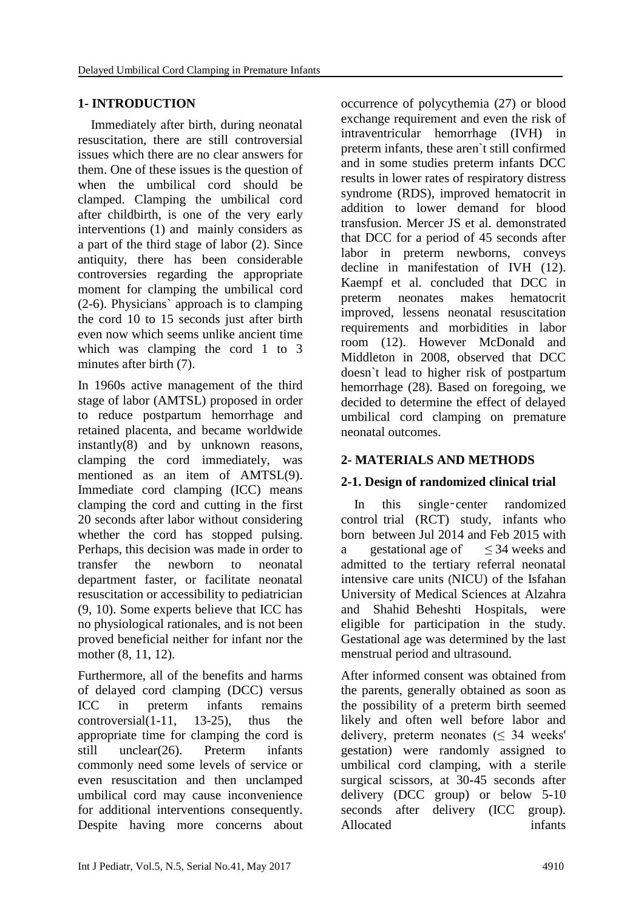# **1- INTRODUCTION**

 Immediately after birth, during neonatal resuscitation, there are still controversial issues which there are no clear answers for them. One of these issues is the question of when the umbilical cord should be clamped. Clamping the umbilical cord after childbirth, is one of the very early interventions (1) and mainly considers as a part of the third stage of labor (2). Since antiquity, there has been considerable controversies regarding the appropriate moment for clamping the umbilical cord (2-6). Physicians` approach is to clamping the cord 10 to 15 seconds just after birth even now which seems unlike ancient time which was clamping the cord 1 to 3 minutes after birth (7).

In 1960s active management of the third stage of labor (AMTSL) proposed in order to reduce postpartum hemorrhage and retained placenta, and became worldwide instantly(8) and by unknown reasons, clamping the cord immediately, was mentioned as an item of AMTSL(9). Immediate cord clamping (ICC) means clamping the cord and cutting in the first 20 seconds after labor without considering whether the cord has stopped pulsing. Perhaps, this decision was made in order to transfer the newborn to neonatal department faster, or facilitate neonatal resuscitation or accessibility to pediatrician (9, 10). Some experts believe that ICC has no physiological rationales, and is not been proved beneficial neither for infant nor the mother (8, 11, 12).

Furthermore, all of the benefits and harms of delayed cord clamping (DCC) versus ICC in preterm infants remains controversial(1-11, 13-25), thus the appropriate time for clamping the cord is still unclear(26). Preterm infants commonly need some levels of service or even resuscitation and then unclamped umbilical cord may cause inconvenience for additional interventions consequently. Despite having more concerns about

occurrence of polycythemia (27) or blood exchange requirement and even the risk of intraventricular hemorrhage (IVH) in preterm infants, these aren`t still confirmed and in some studies preterm infants DCC results in lower rates of respiratory distress syndrome (RDS), improved hematocrit in addition to lower demand for blood transfusion. Mercer JS et al. demonstrated that DCC for a period of 45 seconds after labor in preterm newborns, conveys decline in manifestation of IVH (12). Kaempf et al. concluded that DCC in preterm neonates makes hematocrit improved, lessens neonatal resuscitation requirements and morbidities in labor room (12). However McDonald and Middleton in 2008, observed that DCC doesn`t lead to higher risk of postpartum hemorrhage (28). Based on foregoing, we decided to determine the effect of delayed umbilical cord clamping on premature neonatal outcomes.

### **2- MATERIALS AND METHODS**

# **2-1. Design of randomized clinical trial**

 In this single‑center randomized control trial (RCT) study, infants who born between Jul 2014 and Feb 2015 with a gestational age of  $\leq 34$  weeks and admitted to the tertiary referral neonatal intensive care units (NICU) of the Isfahan University of Medical Sciences at Alzahra and Shahid Beheshti Hospitals, were eligible for participation in the study. Gestational age was determined by the last menstrual period and ultrasound.

After informed consent was obtained from the parents, generally obtained as soon as the possibility of a preterm birth seemed likely and often well before labor and delivery, preterm neonates  $(\leq 34$  weeks' gestation) were randomly assigned to umbilical cord clamping, with a sterile surgical scissors, at 30-45 seconds after delivery (DCC group) or below 5-10 seconds after delivery (ICC group). Allocated infants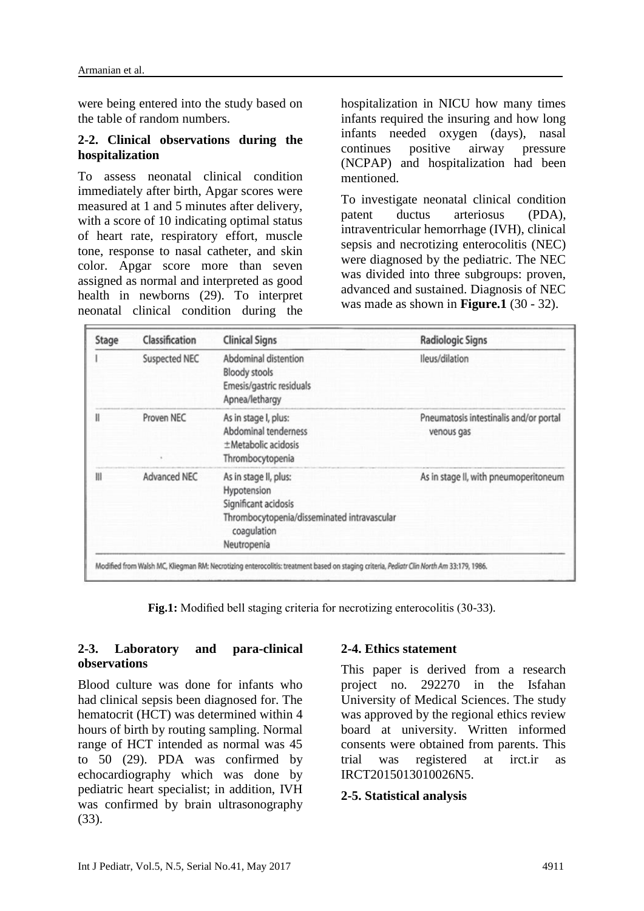were being entered into the study based on the table of random numbers.

#### **2-2. Clinical observations during the hospitalization**

To assess neonatal clinical condition immediately after birth, Apgar scores were measured at 1 and 5 minutes after delivery, with a score of 10 indicating optimal status of heart rate, respiratory effort, muscle tone, response to nasal catheter, and skin color. Apgar score more than seven assigned as normal and interpreted as good health in newborns (29). To interpret neonatal clinical condition during the hospitalization in NICU how many times infants required the insuring and how long infants needed oxygen (days), nasal continues positive airway pressure (NCPAP) and hospitalization had been mentioned.

To investigate neonatal clinical condition patent ductus arteriosus (PDA), intraventricular hemorrhage (IVH), clinical sepsis and necrotizing enterocolitis (NEC) were diagnosed by the pediatric. The NEC was divided into three subgroups: proven, advanced and sustained. Diagnosis of NEC was made as shown in **Figure.1** (30 - 32).

| Stage | Classification | <b>Clinical Signs</b>                                                                                                                     | <b>Radiologic Signs</b>                              |
|-------|----------------|-------------------------------------------------------------------------------------------------------------------------------------------|------------------------------------------------------|
|       | Suspected NEC  | Abdominal distention<br><b>Bloody stools</b><br>Emesis/gastric residuals<br>Apnea/lethargy                                                | Ileus/dilation                                       |
| Ш     | Proven NEC     | As in stage I, plus:<br>Abdominal tenderness<br>±Metabolic acidosis<br>Thrombocytopenia                                                   | Pneumatosis intestinalis and/or portal<br>venous gas |
| Ш     | Advanced NEC   | As in stage II, plus:<br>Hypotension<br>Significant acidosis<br>Thrombocytopenia/disseminated intravascular<br>coagulation<br>Neutropenia | As in stage II, with pneumoperitoneum                |

**Fig.1:** Modified bell staging criteria for necrotizing enterocolitis (30-33).

### **2-3. Laboratory and para-clinical observations**

Blood culture was done for infants who had clinical sepsis been diagnosed for. The hematocrit (HCT) was determined within 4 hours of birth by routing sampling. Normal range of HCT intended as normal was 45 to 50 (29). PDA was confirmed by echocardiography which was done by pediatric heart specialist; in addition, IVH was confirmed by brain ultrasonography (33).

### **2-4. Ethics statement**

This paper is derived from a research project no. 292270 in the Isfahan University of Medical Sciences. The study was approved by the regional ethics review board at university. Written informed consents were obtained from parents. This trial was registered at irct.ir as IRCT2015013010026N5.

#### **2-5. Statistical analysis**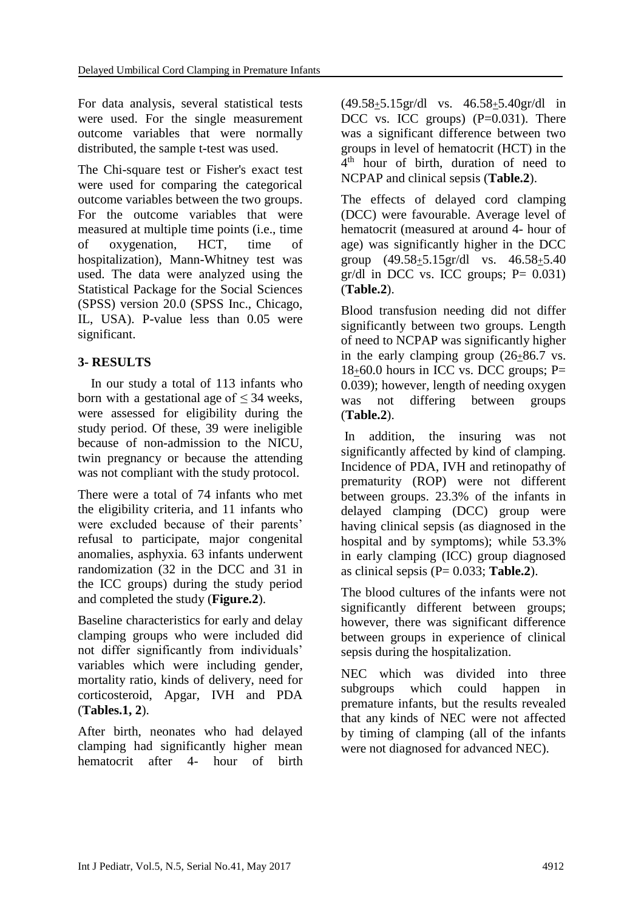For data analysis, several statistical tests were used. For the single measurement outcome variables that were normally distributed, the sample t-test was used.

The Chi-square test or Fisher's exact test were used for comparing the categorical outcome variables between the two groups. For the outcome variables that were measured at multiple time points (i.e., time of oxygenation, HCT, time of hospitalization), Mann-Whitney test was used. The data were analyzed using the Statistical Package for the Social Sciences (SPSS) version 20.0 (SPSS Inc., Chicago, IL, USA). P-value less than 0.05 were significant.

# **3- RESULTS**

 In our study a total of 113 infants who born with a gestational age of  $\leq$  34 weeks. were assessed for eligibility during the study period. Of these, 39 were ineligible because of non-admission to the NICU, twin pregnancy or because the attending was not compliant with the study protocol.

There were a total of 74 infants who met the eligibility criteria, and 11 infants who were excluded because of their parents' refusal to participate, major congenital anomalies, asphyxia. 63 infants underwent randomization (32 in the DCC and 31 in the ICC groups) during the study period and completed the study (**Figure.2**).

Baseline characteristics for early and delay clamping groups who were included did not differ significantly from individuals' variables which were including gender, mortality ratio, kinds of delivery, need for corticosteroid, Apgar, IVH and PDA (**Tables.1, 2**).

After birth, neonates who had delayed clamping had significantly higher mean hematocrit after 4- hour of birth  $(49.58<sub>\pm</sub>5.15gr/dl$  vs.  $46.58<sub>\pm</sub>5.40gr/dl$  in DCC vs. ICC groups)  $(P=0.031)$ . There was a significant difference between two groups in level of hematocrit (HCT) in the 4 th hour of birth, duration of need to NCPAP and clinical sepsis (**Table.2**).

The effects of delayed cord clamping (DCC) were favourable. Average level of hematocrit (measured at around 4- hour of age) was significantly higher in the DCC group (49.58+5.15gr/dl vs. 46.58+5.40  $gr/dl$  in DCC vs. ICC groups;  $P = 0.031$ ) (**Table.2**).

Blood transfusion needing did not differ significantly between two groups. Length of need to NCPAP was significantly higher in the early clamping group (26+86.7 vs.  $18\pm60.0$  hours in ICC vs. DCC groups; P= 0.039); however, length of needing oxygen was not differing between groups (**Table.2**).

In addition, the insuring was not significantly affected by kind of clamping. Incidence of PDA, IVH and retinopathy of prematurity (ROP) were not different between groups. 23.3% of the infants in delayed clamping (DCC) group were having clinical sepsis (as diagnosed in the hospital and by symptoms); while 53.3% in early clamping (ICC) group diagnosed as clinical sepsis (P= 0.033; **Table.2**).

The blood cultures of the infants were not significantly different between groups; however, there was significant difference between groups in experience of clinical sepsis during the hospitalization.

NEC which was divided into three subgroups which could happen in premature infants, but the results revealed that any kinds of NEC were not affected by timing of clamping (all of the infants were not diagnosed for advanced NEC).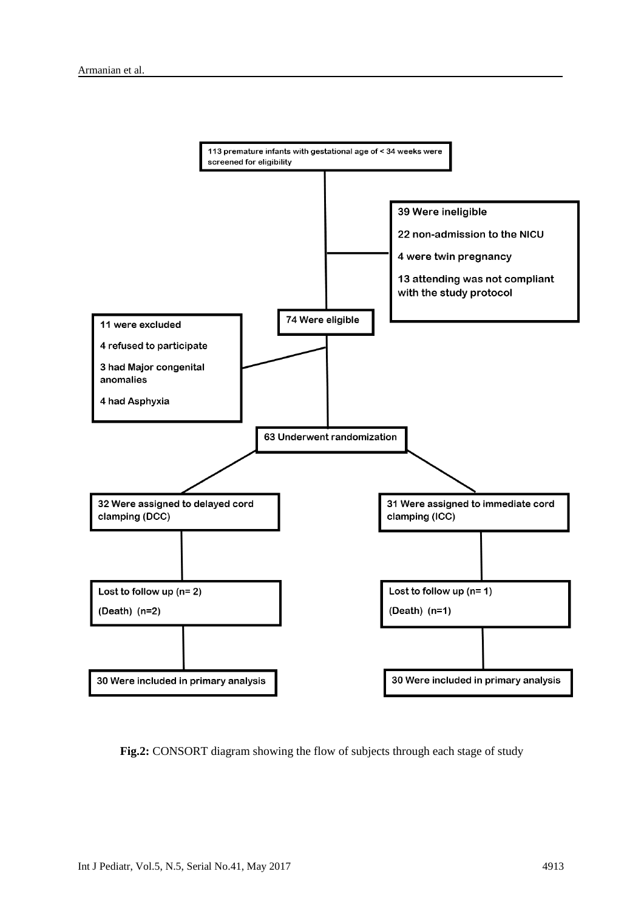

**Fig.2:** CONSORT diagram showing the flow of subjects through each stage of study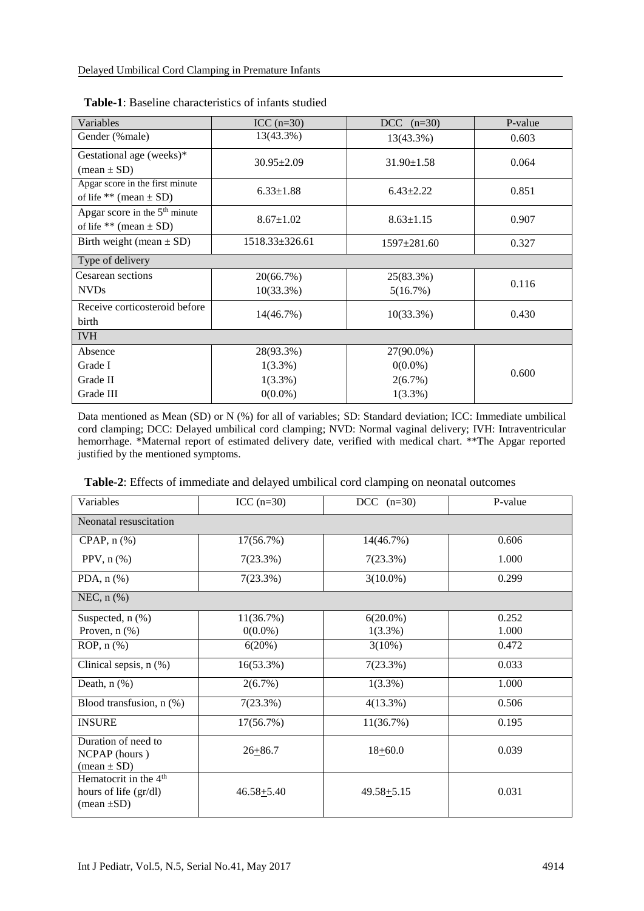| Variables                                                               | $ICC (n=30)$              | $DCC$ (n=30)          | P-value |
|-------------------------------------------------------------------------|---------------------------|-----------------------|---------|
| Gender (%male)                                                          | 13(43.3%)                 | 13(43.3%)             | 0.603   |
| Gestational age (weeks)*<br>$(\text{mean} \pm \text{SD})$               | $30.95 \pm 2.09$          | $31.90 \pm 1.58$      | 0.064   |
| Apgar score in the first minute<br>of life ** (mean $\pm$ SD)           | $6.33 \pm 1.88$           | $6.43 \pm 2.22$       | 0.851   |
| Apgar score in the 5 <sup>th</sup> minute<br>of life ** (mean $\pm$ SD) | $8.67 \pm 1.02$           | $8.63 \pm 1.15$       | 0.907   |
| Birth weight (mean $\pm$ SD)                                            | 1518.33±326.61            | $1597 \pm 281.60$     | 0.327   |
| Type of delivery                                                        |                           |                       |         |
| Cesarean sections<br><b>NVDs</b>                                        | 20(66.7%)<br>$10(33.3\%)$ | 25(83.3%)<br>5(16.7%) | 0.116   |
| Receive corticosteroid before<br>birth                                  | $14(46.7\%)$              | $10(33.3\%)$          | 0.430   |
| <b>IVH</b>                                                              |                           |                       |         |
| Absence                                                                 | 28(93.3%)                 | 27(90.0%)             |         |
| Grade I                                                                 | $1(3.3\%)$                | $0(0.0\%)$            | 0.600   |
| Grade II                                                                | $1(3.3\%)$                | 2(6.7%)               |         |
| Grade III                                                               | $0(0.0\%)$                | $1(3.3\%)$            |         |

| <b>Table-1:</b> Baseline characteristics of infants studied |  |  |  |
|-------------------------------------------------------------|--|--|--|
|-------------------------------------------------------------|--|--|--|

Data mentioned as Mean (SD) or N (%) for all of variables; SD: Standard deviation; ICC: Immediate umbilical cord clamping; DCC: Delayed umbilical cord clamping; NVD: Normal vaginal delivery; IVH: Intraventricular hemorrhage. \*Maternal report of estimated delivery date, verified with medical chart. \*\*The Apgar reported justified by the mentioned symptoms.

| Variables                                                                            | $ICC (n=30)$   | DCC $(n=30)$   | P-value |
|--------------------------------------------------------------------------------------|----------------|----------------|---------|
| Neonatal resuscitation                                                               |                |                |         |
| CPAP, $n$ $%$                                                                        | 17(56.7%)      | 14(46.7%)      | 0.606   |
| PPV, $n$ $(\%)$                                                                      | 7(23.3%)       | 7(23.3%)       | 1.000   |
| PDA, $n$ $%$                                                                         | 7(23.3%)       | $3(10.0\%)$    | 0.299   |
| NEC, $n$ $%$                                                                         |                |                |         |
| Suspected, n (%)                                                                     | 11(36.7%)      | $6(20.0\%)$    | 0.252   |
| Proven, $n$ $(\%)$                                                                   | $0(0.0\%)$     | $1(3.3\%)$     | 1.000   |
| ROP, $n$ $%$                                                                         | 6(20%)         | $3(10\%)$      | 0.472   |
| Clinical sepsis, n (%)                                                               | 16(53.3%)      | 7(23.3%)       | 0.033   |
| Death, $n$ $(\%)$                                                                    | 2(6.7%)        | $1(3.3\%)$     | 1.000   |
| Blood transfusion, n (%)                                                             | 7(23.3%)       | $4(13.3\%)$    | 0.506   |
| <b>INSURE</b>                                                                        | 17(56.7%)      | 11(36.7%)      | 0.195   |
| Duration of need to<br>NCPAP (hours)<br>$(\text{mean} \pm \text{SD})$                | $26 + 86.7$    | $18+60.0$      | 0.039   |
| Hematocrit in the 4 <sup>th</sup><br>hours of life (gr/dl)<br>$(\text{mean} \pm SD)$ | $46.58 + 5.40$ | $49.58 + 5.15$ | 0.031   |

 **Table-2**: Effects of immediate and delayed umbilical cord clamping on neonatal outcomes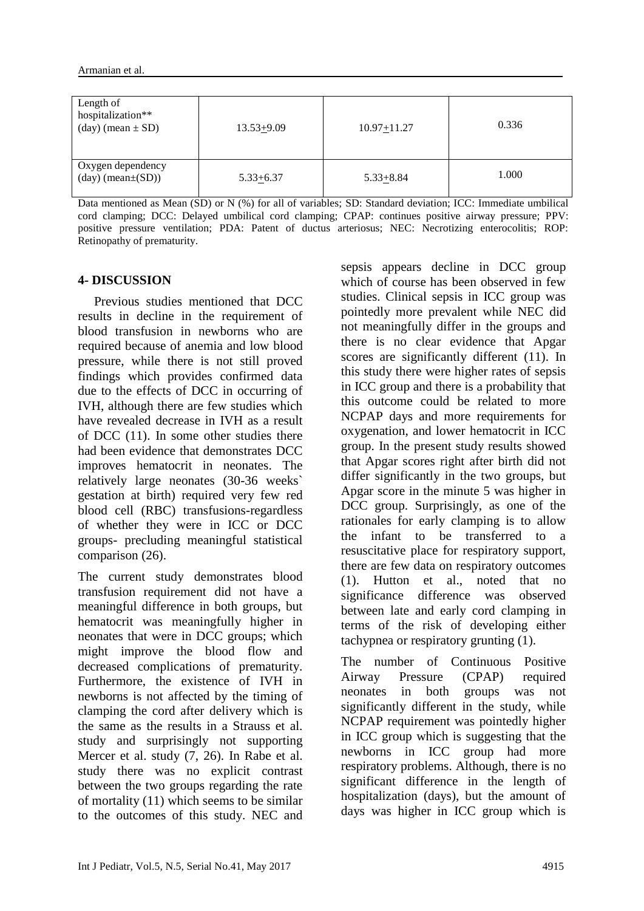| Length of<br>hospitalization**<br>$(\text{day})$ (mean $\pm$ SD) | $13.53 + 9.09$ | $10.97 + 11.27$ | 0.336 |
|------------------------------------------------------------------|----------------|-----------------|-------|
| Oxygen dependency<br>$(\text{day})$ (mean $\pm(SD)$ )            | $5.33 + 6.37$  | $5.33 + 8.84$   | 1.000 |

Data mentioned as Mean (SD) or N (%) for all of variables; SD: Standard deviation; ICC: Immediate umbilical cord clamping; DCC: Delayed umbilical cord clamping; CPAP: continues positive airway pressure; PPV: positive pressure ventilation; PDA: Patent of ductus arteriosus; NEC: Necrotizing enterocolitis; ROP: Retinopathy of prematurity.

#### **4- DISCUSSION**

 Previous studies mentioned that DCC results in decline in the requirement of blood transfusion in newborns who are required because of anemia and low blood pressure, while there is not still proved findings which provides confirmed data due to the effects of DCC in occurring of IVH, although there are few studies which have revealed decrease in IVH as a result of DCC (11). In some other studies there had been evidence that demonstrates DCC improves hematocrit in neonates. The relatively large neonates (30-36 weeks` gestation at birth) required very few red blood cell (RBC) transfusions-regardless of whether they were in ICC or DCC groups- precluding meaningful statistical comparison (26).

The current study demonstrates blood transfusion requirement did not have a meaningful difference in both groups, but hematocrit was meaningfully higher in neonates that were in DCC groups; which might improve the blood flow and decreased complications of prematurity. Furthermore, the existence of IVH in newborns is not affected by the timing of clamping the cord after delivery which is the same as the results in a Strauss et al. study and surprisingly not supporting Mercer et al. study (7, 26). In Rabe et al. study there was no explicit contrast between the two groups regarding the rate of mortality (11) which seems to be similar to the outcomes of this study. NEC and

sepsis appears decline in DCC group which of course has been observed in few studies. Clinical sepsis in ICC group was pointedly more prevalent while NEC did not meaningfully differ in the groups and there is no clear evidence that Apgar scores are significantly different (11). In this study there were higher rates of sepsis in ICC group and there is a probability that this outcome could be related to more NCPAP days and more requirements for oxygenation, and lower hematocrit in ICC group. In the present study results showed that Apgar scores right after birth did not differ significantly in the two groups, but Apgar score in the minute 5 was higher in DCC group. Surprisingly, as one of the rationales for early clamping is to allow the infant to be transferred to a resuscitative place for respiratory support, there are few data on respiratory outcomes (1). Hutton et al., noted that no significance difference was observed between late and early cord clamping in terms of the risk of developing either tachypnea or respiratory grunting (1).

The number of Continuous Positive Airway Pressure (CPAP) required neonates in both groups was not significantly different in the study, while NCPAP requirement was pointedly higher in ICC group which is suggesting that the newborns in ICC group had more respiratory problems. Although, there is no significant difference in the length of hospitalization (days), but the amount of days was higher in ICC group which is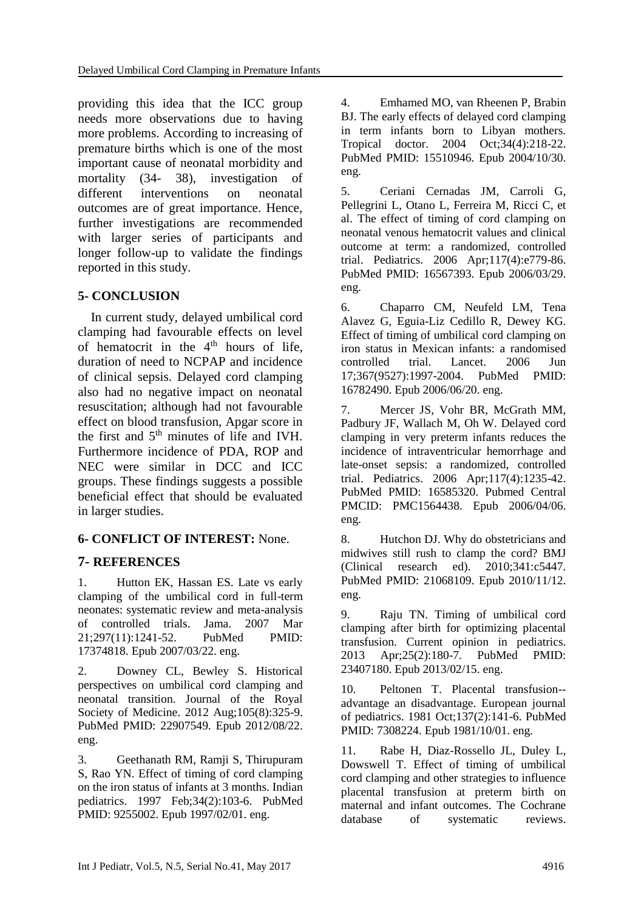providing this idea that the ICC group needs more observations due to having more problems. According to increasing of premature births which is one of the most important cause of neonatal morbidity and mortality (34- 38), investigation of different interventions on neonatal outcomes are of great importance. Hence, further investigations are recommended with larger series of participants and longer follow-up to validate the findings reported in this study.

### **5- CONCLUSION**

 In current study, delayed umbilical cord clamping had favourable effects on level of hematocrit in the  $4<sup>th</sup>$  hours of life, duration of need to NCPAP and incidence of clinical sepsis. Delayed cord clamping also had no negative impact on neonatal resuscitation; although had not favourable effect on blood transfusion, Apgar score in the first and  $5<sup>th</sup>$  minutes of life and IVH. Furthermore incidence of PDA, ROP and NEC were similar in DCC and ICC groups. These findings suggests a possible beneficial effect that should be evaluated in larger studies.

### **6- CONFLICT OF INTEREST:** None.

### **7- REFERENCES**

1. Hutton EK, Hassan ES. Late vs early clamping of the umbilical cord in full-term neonates: systematic review and meta-analysis of controlled trials. Jama. 2007 Mar 21;297(11):1241-52. PubMed PMID: 17374818. Epub 2007/03/22. eng.

2. Downey CL, Bewley S. Historical perspectives on umbilical cord clamping and neonatal transition. Journal of the Royal Society of Medicine. 2012 Aug;105(8):325-9. PubMed PMID: 22907549. Epub 2012/08/22. eng.

3. Geethanath RM, Ramji S, Thirupuram S, Rao YN. Effect of timing of cord clamping on the iron status of infants at 3 months. Indian pediatrics. 1997 Feb;34(2):103-6. PubMed PMID: 9255002. Epub 1997/02/01. eng.

4. Emhamed MO, van Rheenen P, Brabin BJ. The early effects of delayed cord clamping in term infants born to Libyan mothers. Tropical doctor. 2004 Oct;34(4):218-22. PubMed PMID: 15510946. Epub 2004/10/30. eng.

5. Ceriani Cernadas JM, Carroli G, Pellegrini L, Otano L, Ferreira M, Ricci C, et al. The effect of timing of cord clamping on neonatal venous hematocrit values and clinical outcome at term: a randomized, controlled trial. Pediatrics. 2006 Apr;117(4):e779-86. PubMed PMID: 16567393. Epub 2006/03/29. eng.

6. Chaparro CM, Neufeld LM, Tena Alavez G, Eguia-Liz Cedillo R, Dewey KG. Effect of timing of umbilical cord clamping on iron status in Mexican infants: a randomised controlled trial. Lancet. 2006 Jun 17;367(9527):1997-2004. PubMed PMID: 16782490. Epub 2006/06/20. eng.

7. Mercer JS, Vohr BR, McGrath MM, Padbury JF, Wallach M, Oh W. Delayed cord clamping in very preterm infants reduces the incidence of intraventricular hemorrhage and late-onset sepsis: a randomized, controlled trial. Pediatrics. 2006 Apr;117(4):1235-42. PubMed PMID: 16585320. Pubmed Central PMCID: PMC1564438. Epub 2006/04/06. eng.

8. Hutchon DJ. Why do obstetricians and midwives still rush to clamp the cord? BMJ (Clinical research ed). 2010;341:c5447. PubMed PMID: 21068109. Epub 2010/11/12. eng.

9. Raju TN. Timing of umbilical cord clamping after birth for optimizing placental transfusion. Current opinion in pediatrics. 2013 Apr;25(2):180-7. PubMed PMID: 23407180. Epub 2013/02/15. eng.

10. Peltonen T. Placental transfusion- advantage an disadvantage. European journal of pediatrics. 1981 Oct;137(2):141-6. PubMed PMID: 7308224. Epub 1981/10/01. eng.

11. Rabe H, Diaz-Rossello JL, Duley L, Dowswell T. Effect of timing of umbilical cord clamping and other strategies to influence placental transfusion at preterm birth on maternal and infant outcomes. The Cochrane database of systematic reviews.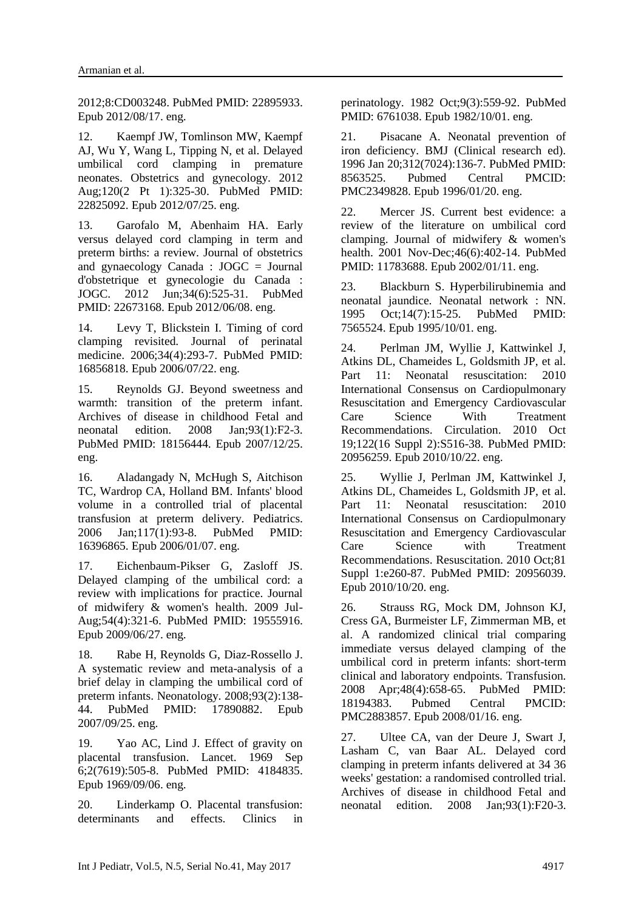2012;8:CD003248. PubMed PMID: 22895933. Epub 2012/08/17. eng.

12. Kaempf JW, Tomlinson MW, Kaempf AJ, Wu Y, Wang L, Tipping N, et al. Delayed umbilical cord clamping in premature neonates. Obstetrics and gynecology. 2012 Aug;120(2 Pt 1):325-30. PubMed PMID: 22825092. Epub 2012/07/25. eng.

13. Garofalo M, Abenhaim HA. Early versus delayed cord clamping in term and preterm births: a review. Journal of obstetrics and gynaecology Canada : JOGC = Journal d'obstetrique et gynecologie du Canada : JOGC. 2012 Jun;34(6):525-31. PubMed PMID: 22673168. Epub 2012/06/08. eng.

14. Levy T, Blickstein I. Timing of cord clamping revisited. Journal of perinatal medicine. 2006;34(4):293-7. PubMed PMID: 16856818. Epub 2006/07/22. eng.

15. Reynolds GJ. Beyond sweetness and warmth: transition of the preterm infant. Archives of disease in childhood Fetal and neonatal edition. 2008 Jan;93(1):F2-3. PubMed PMID: 18156444. Epub 2007/12/25. eng.

16. Aladangady N, McHugh S, Aitchison TC, Wardrop CA, Holland BM. Infants' blood volume in a controlled trial of placental transfusion at preterm delivery. Pediatrics. 2006 Jan;117(1):93-8. PubMed PMID: 16396865. Epub 2006/01/07. eng.

17. Eichenbaum-Pikser G, Zasloff JS. Delayed clamping of the umbilical cord: a review with implications for practice. Journal of midwifery & women's health. 2009 Jul-Aug;54(4):321-6. PubMed PMID: 19555916. Epub 2009/06/27. eng.

18. Rabe H, Reynolds G, Diaz-Rossello J. A systematic review and meta-analysis of a brief delay in clamping the umbilical cord of preterm infants. Neonatology. 2008;93(2):138- 44. PubMed PMID: 17890882. Epub 2007/09/25. eng.

19. Yao AC, Lind J. Effect of gravity on placental transfusion. Lancet. 1969 Sep 6;2(7619):505-8. PubMed PMID: 4184835. Epub 1969/09/06. eng.

20. Linderkamp O. Placental transfusion: determinants and effects. Clinics in perinatology. 1982 Oct;9(3):559-92. PubMed PMID: 6761038. Epub 1982/10/01. eng.

21. Pisacane A. Neonatal prevention of iron deficiency. BMJ (Clinical research ed). 1996 Jan 20;312(7024):136-7. PubMed PMID: 8563525. Pubmed Central PMCID: PMC2349828. Epub 1996/01/20. eng.

22. Mercer JS. Current best evidence: a review of the literature on umbilical cord clamping. Journal of midwifery & women's health. 2001 Nov-Dec;46(6):402-14. PubMed PMID: 11783688. Epub 2002/01/11. eng.

23. Blackburn S. Hyperbilirubinemia and neonatal jaundice. Neonatal network : NN. 1995 Oct;14(7):15-25. PubMed PMID: 7565524. Epub 1995/10/01. eng.

24. Perlman JM, Wyllie J, Kattwinkel J, Atkins DL, Chameides L, Goldsmith JP, et al. Part 11: Neonatal resuscitation: 2010 International Consensus on Cardiopulmonary Resuscitation and Emergency Cardiovascular Care Science With Treatment Recommendations. Circulation. 2010 Oct 19;122(16 Suppl 2):S516-38. PubMed PMID: 20956259. Epub 2010/10/22. eng.

25. Wyllie J, Perlman JM, Kattwinkel J, Atkins DL, Chameides L, Goldsmith JP, et al. Part 11: Neonatal resuscitation: 2010 International Consensus on Cardiopulmonary Resuscitation and Emergency Cardiovascular Care Science with Treatment Recommendations. Resuscitation. 2010 Oct;81 Suppl 1:e260-87. PubMed PMID: 20956039. Epub 2010/10/20. eng.

26. Strauss RG, Mock DM, Johnson KJ, Cress GA, Burmeister LF, Zimmerman MB, et al. A randomized clinical trial comparing immediate versus delayed clamping of the umbilical cord in preterm infants: short-term clinical and laboratory endpoints. Transfusion. 2008 Apr;48(4):658-65. PubMed PMID: 18194383. Pubmed Central PMCID: PMC2883857. Epub 2008/01/16. eng.

27. Ultee CA, van der Deure J, Swart J, Lasham C, van Baar AL. Delayed cord clamping in preterm infants delivered at 34 36 weeks' gestation: a randomised controlled trial. Archives of disease in childhood Fetal and neonatal edition. 2008 Jan;93(1):F20-3.